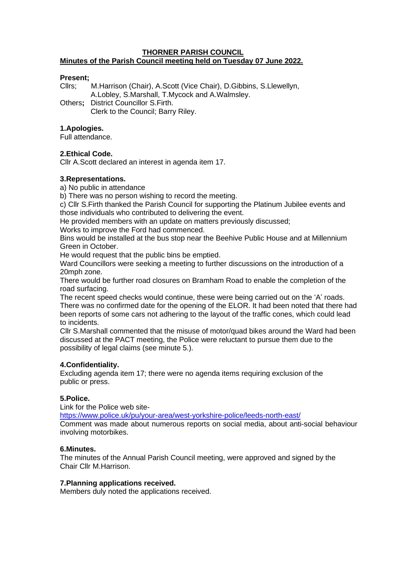#### **THORNER PARISH COUNCIL Minutes of the Parish Council meeting held on Tuesday 07 June 2022.**

#### **Present;**

Cllrs; M.Harrison (Chair), A.Scott (Vice Chair), D.Gibbins, S.Llewellyn, A.Lobley, S.Marshall, T.Mycock and A.Walmsley.

Others**;** District Councillor S.Firth. Clerk to the Council; Barry Riley.

#### **1.Apologies.**

Full attendance.

# **2.Ethical Code.**

Cllr A.Scott declared an interest in agenda item 17.

# **3.Representations.**

a) No public in attendance

b) There was no person wishing to record the meeting.

c) Cllr S.Firth thanked the Parish Council for supporting the Platinum Jubilee events and those individuals who contributed to delivering the event.

He provided members with an update on matters previously discussed;

Works to improve the Ford had commenced.

Bins would be installed at the bus stop near the Beehive Public House and at Millennium Green in October.

He would request that the public bins be emptied.

Ward Councillors were seeking a meeting to further discussions on the introduction of a 20mph zone.

There would be further road closures on Bramham Road to enable the completion of the road surfacing.

The recent speed checks would continue, these were being carried out on the 'A' roads. There was no confirmed date for the opening of the ELOR. It had been noted that there had been reports of some cars not adhering to the layout of the traffic cones, which could lead to incidents.

Cllr S.Marshall commented that the misuse of motor/quad bikes around the Ward had been discussed at the PACT meeting, the Police were reluctant to pursue them due to the possibility of legal claims (see minute 5.).

# **4.Confidentiality.**

Excluding agenda item 17; there were no agenda items requiring exclusion of the public or press.

# **5.Police.**

Link for the Police web site-

<https://www.police.uk/pu/your-area/west-yorkshire-police/leeds-north-east/>

Comment was made about numerous reports on social media, about anti-social behaviour involving motorbikes.

# **6.Minutes.**

The minutes of the Annual Parish Council meeting, were approved and signed by the Chair Cllr M.Harrison.

# **7.Planning applications received.**

Members duly noted the applications received.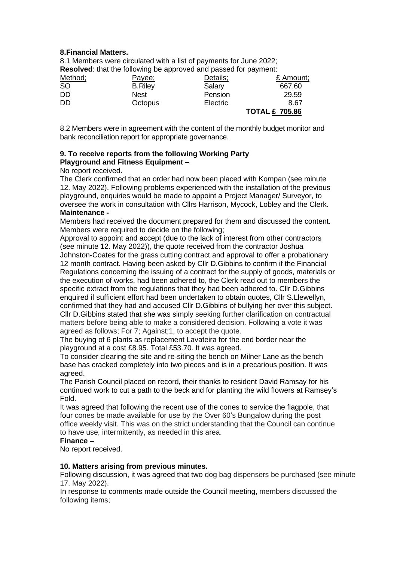# **8.Financial Matters.**

8.1 Members were circulated with a list of payments for June 2022; **Resolved**: that the following be approved and passed for payment:

| Method;   | Payee;         | Details; | £ Amount;             |
|-----------|----------------|----------|-----------------------|
| <b>SO</b> | <b>B.Riley</b> | Salary   | 667.60                |
| DD        | <b>Nest</b>    | Pension  | 29.59                 |
| DD        | Octopus        | Electric | 8.67                  |
|           |                |          | <b>TOTAL £ 705.86</b> |

8.2 Members were in agreement with the content of the monthly budget monitor and bank reconciliation report for appropriate governance.

# **9. To receive reports from the following Working Party Playground and Fitness Equipment –**

No report received.

The Clerk confirmed that an order had now been placed with Kompan (see minute 12. May 2022). Following problems experienced with the installation of the previous playground, enquiries would be made to appoint a Project Manager/ Surveyor, to oversee the work in consultation with Cllrs Harrison, Mycock, Lobley and the Clerk. **Maintenance -** 

Members had received the document prepared for them and discussed the content. Members were required to decide on the following;

Approval to appoint and accept (due to the lack of interest from other contractors (see minute 12. May 2022)), the quote received from the contractor Joshua Johnston-Coates for the grass cutting contract and approval to offer a probationary 12 month contract. Having been asked by Cllr D.Gibbins to confirm if the Financial Regulations concerning the issuing of a contract for the supply of goods, materials or the execution of works, had been adhered to, the Clerk read out to members the specific extract from the regulations that they had been adhered to. Cllr D.Gibbins enquired if sufficient effort had been undertaken to obtain quotes, Cllr S.Llewellyn, confirmed that they had and accused Cllr D.Gibbins of bullying her over this subject. Cllr D.Gibbins stated that she was simply seeking further clarification on contractual matters before being able to make a considered decision. Following a vote it was agreed as follows; For 7; Against;1, to accept the quote.

The buying of 6 plants as replacement Lavateira for the end border near the playground at a cost £8.95. Total £53.70. It was agreed.

To consider clearing the site and re-siting the bench on Milner Lane as the bench base has cracked completely into two pieces and is in a precarious position. It was agreed.

The Parish Council placed on record, their thanks to resident David Ramsay for his continued work to cut a path to the beck and for planting the wild flowers at Ramsey's Fold.

It was agreed that following the recent use of the cones to service the flagpole, that four cones be made available for use by the Over 60's Bungalow during the post office weekly visit. This was on the strict understanding that the Council can continue to have use, intermittently, as needed in this area.

# **Finance –**

No report received.

# **10. Matters arising from previous minutes.**

Following discussion, it was agreed that two dog bag dispensers be purchased (see minute 17. May 2022).

In response to comments made outside the Council meeting, members discussed the following items;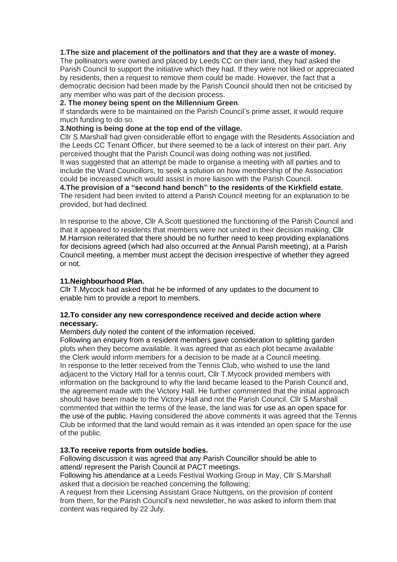#### **1.The size and placement of the pollinators and that they are a waste of money.**

The pollinators were owned and placed by Leeds CC on their land, they had asked the Parish Council to support the initiative which they had. If they were not liked or appreciated by residents, then a request to remove them could be made. However, the fact that a democratic decision had been made by the Parish Council should then not be criticised by any member who was part of the decision process.

#### **2. The money being spent on the Millennium Green**.

If standards were to be maintained on the Parish Council's prime asset, it would require much funding to do so.

#### **3.Nothing is being done at the top end of the village.**

Cllr S.Marshall had given considerable effort to engage with the Residents Association and the Leeds CC Tenant Officer, but there seemed to be a lack of interest on their part. Any perceived thought that the Parish Council was doing nothing was not justified. It was suggested that an attempt be made to organise a meeting with all parties and to include the Ward Councillors, to seek a solution on how membership of the Association could be increased which would assist in more liaison with the Parish Council.

**4.The provision of a "second hand bench" to the residents of the Kirkfield estate.** The resident had been invited to attend a Parish Council meeting for an explanation to be provided, but had declined.

In response to the above, Cllr A.Scott questioned the functioning of the Parish Council and that it appeared to residents that members were not united in their decision making, Cllr M.Harrsion reiterated that there should be no further need to keep providing explanations for decisions agreed (which had also occurred at the Annual Parish meeting), at a Parish Council meeting, a member must accept the decision irrespective of whether they agreed or not.

# **11.Neighbourhood Plan.**

Cllr T.Mycock had asked that he be informed of any updates to the document to enable him to provide a report to members.

#### **12.To consider any new correspondence received and decide action where necessary.**

Members duly noted the content of the information received.

Following an enquiry from a resident members gave consideration to splitting garden plots when they become available. It was agreed that as each plot became available the Clerk would inform members for a decision to be made at a Council meeting. In response to the letter received from the Tennis Club, who wished to use the land adjacent to the Victory Hall for a tennis court, Cllr T.Mycock provided members with information on the background to why the land became leased to the Parish Council and, the agreement made with the Victory Hall. He further commented that the initial approach should have been made to the Victory Hall and not the Parish Council. Cllr S.Marshall commented that within the terms of the lease, the land was for use as an open space for the use of the public. Having considered the above comments it was agreed that the Tennis Club be informed that the land would remain as it was intended an open space for the use of the public.

# **13.To receive reports from outside bodies.**

Following discussion it was agreed that any Parish Councillor should be able to attend/ represent the Parish Council at PACT meetings.

Following his attendance at a Leeds Festival Working Group in May, Cllr S.Marshall asked that a decision be reached concerning the following;

A request from their Licensing Assistant Grace Nuttgens, on the provision of content from them, for the Parish Council's next newsletter, he was asked to inform them that content was required by 22 July.